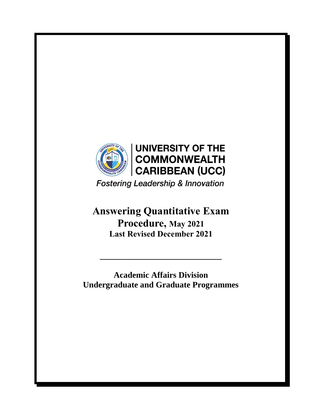

**Fostering Leadership & Innovation** 

**Answering Quantitative Exam Procedure, May 2021 Last Revised December 2021**

**Academic Affairs Division Undergraduate and Graduate Programmes**

**\_\_\_\_\_\_\_\_\_\_\_\_\_\_\_\_\_\_\_\_\_\_\_\_\_\_\_\_\_**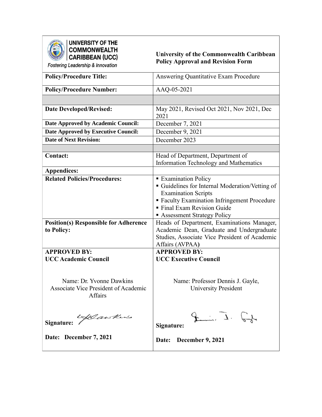

UNIVERSITY OF THE<br>COMMONWEALTH **CARIBBEAN (UCC)** 

**University of the Commonwealth Caribbean Policy Approval and Revision Form**

Fostering Leadership & Innovation

| <b>Policy/Procedure Title:</b>                                              | Answering Quantitative Exam Procedure                                                                                                                                                                                    |
|-----------------------------------------------------------------------------|--------------------------------------------------------------------------------------------------------------------------------------------------------------------------------------------------------------------------|
| <b>Policy/Procedure Number:</b>                                             | AAQ-05-2021                                                                                                                                                                                                              |
|                                                                             |                                                                                                                                                                                                                          |
| <b>Date Developed/Revised:</b>                                              | May 2021, Revised Oct 2021, Nov 2021, Dec<br>2021                                                                                                                                                                        |
| Date Approved by Academic Council:                                          | December 7, 2021                                                                                                                                                                                                         |
| Date Approved by Executive Council:                                         | December 9, 2021                                                                                                                                                                                                         |
| <b>Date of Next Revision:</b>                                               | December 2023                                                                                                                                                                                                            |
|                                                                             |                                                                                                                                                                                                                          |
| <b>Contact:</b>                                                             | Head of Department, Department of<br><b>Information Technology and Mathematics</b>                                                                                                                                       |
| <b>Appendices:</b>                                                          |                                                                                                                                                                                                                          |
| <b>Related Policies/Procedures:</b>                                         | <b>Examination Policy</b><br>Guidelines for Internal Moderation/Vetting of<br><b>Examination Scripts</b><br><b>Faculty Examination Infringement Procedure</b><br>Final Exam Revision Guide<br>Assessment Strategy Policy |
| <b>Position(s) Responsible for Adherence</b><br>to Policy:                  | Heads of Department, Examinations Manager,<br>Academic Dean, Graduate and Undergraduate<br>Studies, Associate Vice President of Academic<br>Affairs (AVPAA)                                                              |
| <b>APPROVED BY:</b>                                                         | <b>APPROVED BY:</b>                                                                                                                                                                                                      |
| <b>UCC Academic Council</b>                                                 | <b>UCC Executive Council</b>                                                                                                                                                                                             |
| Name: Dr. Yvonne Dawkins<br>Associate Vice President of Academic<br>Affairs | Name: Professor Dennis J. Gayle,<br><b>University President</b>                                                                                                                                                          |
| Lellaw Kines<br>Signature:                                                  | $\sim$ $\sim$ $\sim$ $\sim$<br>Signature:                                                                                                                                                                                |
| Date: December 7, 2021                                                      | <b>December 9, 2021</b><br>Date:                                                                                                                                                                                         |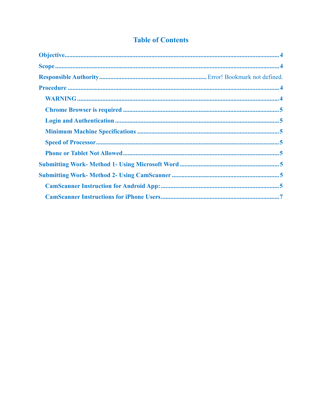# **Table of Contents**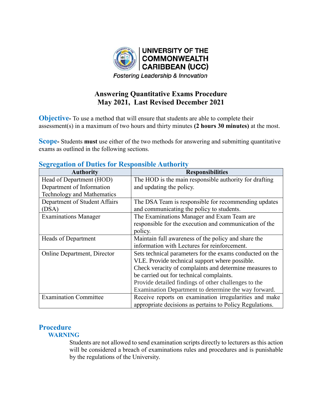

## **Answering Quantitative Exams Procedure May 2021, Last Revised December 2021**

<span id="page-3-0"></span>**Objective** To use a method that will ensure that students are able to complete their assessment(s) in a maximum of two hours and thirty minutes **(2 hours 30 minutes)** at the most.

<span id="page-3-1"></span>**Scope-** Students **must** use either of the two methods for answering and submitting quantitative exams as outlined in the following sections.

| <b>Authority</b>                   | <b>Responsibilities</b>                                  |
|------------------------------------|----------------------------------------------------------|
| Head of Department (HOD)           | The HOD is the main responsible authority for drafting   |
| Department of Information          | and updating the policy.                                 |
| Technology and Mathematics         |                                                          |
| Department of Student Affairs      | The DSA Team is responsible for recommending updates     |
| (DSA)                              | and communicating the policy to students.                |
| <b>Examinations Manager</b>        | The Examinations Manager and Exam Team are               |
|                                    | responsible for the execution and communication of the   |
|                                    | policy.                                                  |
| <b>Heads of Department</b>         | Maintain full awareness of the policy and share the      |
|                                    | information with Lectures for reinforcement.             |
| <b>Online Department, Director</b> | Sets technical parameters for the exams conducted on the |
|                                    | VLE. Provide technical support where possible.           |
|                                    | Check veracity of complaints and determine measures to   |
|                                    | be carried out for technical complaints.                 |
|                                    | Provide detailed findings of other challenges to the     |
|                                    | Examination Department to determine the way forward.     |
| <b>Examination Committee</b>       | Receive reports on examination irregularities and make   |
|                                    | appropriate decisions as pertains to Policy Regulations. |

## **Segregation of Duties for Responsible Authority**

# <span id="page-3-3"></span><span id="page-3-2"></span>**Procedure**

## **WARNING**

Students are not allowed to send examination scripts directly to lecturers as this action will be considered a breach of examinations rules and procedures and is punishable by the regulations of the University.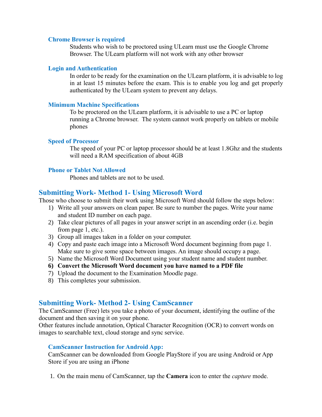#### <span id="page-4-0"></span>**Chrome Browser is required**

Students who wish to be proctored using ULearn must use the Google Chrome Browser. The ULearn platform will not work with any other browser

#### <span id="page-4-1"></span>**Login and Authentication**

In order to be ready for the examination on the ULearn platform, it is advisable to log in at least 15 minutes before the exam. This is to enable you log and get properly authenticated by the ULearn system to prevent any delays.

#### <span id="page-4-2"></span>**Minimum Machine Specifications**

To be proctored on the ULearn platform, it is advisable to use a PC or laptop running a Chrome browser. The system cannot work properly on tablets or mobile phones

#### <span id="page-4-3"></span>**Speed of Processor**

The speed of your PC or laptop processor should be at least 1.8Ghz and the students will need a RAM specification of about 4GB

#### <span id="page-4-4"></span>**Phone or Tablet Not Allowed**

Phones and tablets are not to be used.

### <span id="page-4-5"></span>**Submitting Work- Method 1- Using Microsoft Word**

Those who choose to submit their work using Microsoft Word should follow the steps below:

- 1) Write all your answers on clean paper. Be sure to number the pages. Write your name and student ID number on each page.
- 2) Take clear pictures of all pages in your answer script in an ascending order (i.e. begin from page 1, etc.).
- 3) Group all images taken in a folder on your computer.
- 4) Copy and paste each image into a Microsoft Word document beginning from page 1. Make sure to give some space between images. An image should occupy a page.
- 5) Name the Microsoft Word Document using your student name and student number.
- **6) Convert the Microsoft Word document you have named to a PDF file**
- 7) Upload the document to the Examination Moodle page.
- 8) This completes your submission.

### <span id="page-4-6"></span>**Submitting Work- Method 2- Using CamScanner**

The CamScanner (Free) lets you take a photo of your document, identifying the outline of the document and then saving it on your phone.

Other features include annotation, Optical Character Recognition (OCR) to convert words on images to searchable text, cloud storage and sync service.

### <span id="page-4-7"></span>**CamScanner Instruction for Android App:**

CamScanner can be downloaded from Google PlayStore if you are using Android or App Store if you are using an iPhone

1. On the main menu of CamScanner, tap the **Camera** icon to enter the *capture* mode.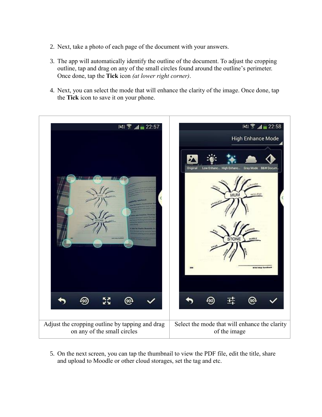- 2. Next, take a photo of each page of the document with your answers.
- 3. The app will automatically identify the outline of the document. To adjust the cropping outline, tap and drag on any of the small circles found around the outline's perimeter. Once done, tap the **Tick** icon *(at lower right corner)*.
- 4. Next, you can select the mode that will enhance the clarity of the image. Once done, tap the **Tick** icon to save it on your phone.



5. On the next screen, you can tap the thumbnail to view the PDF file, edit the title, share and upload to Moodle or other cloud storages, set the tag and etc.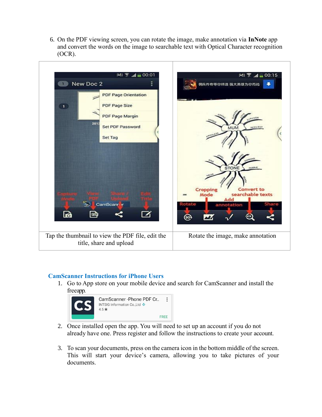6. On the PDF viewing screen, you can rotate the image, make annotation via **InNote** app and convert the words on the image to searchable text with Optical Character recognition (OCR).



## <span id="page-6-0"></span>**CamScanner Instructions for iPhone Users**

1. Go to App store on your mobile device and search for CamScanner and install the freeapp.



- 2. Once installed open the app. You will need to set up an account if you do not already have one. Press register and follow the instructions to create your account.
- 3. To scan your documents, press on the camera icon in the bottom middle of the screen. This will start your device's camera, allowing you to take pictures of your documents.